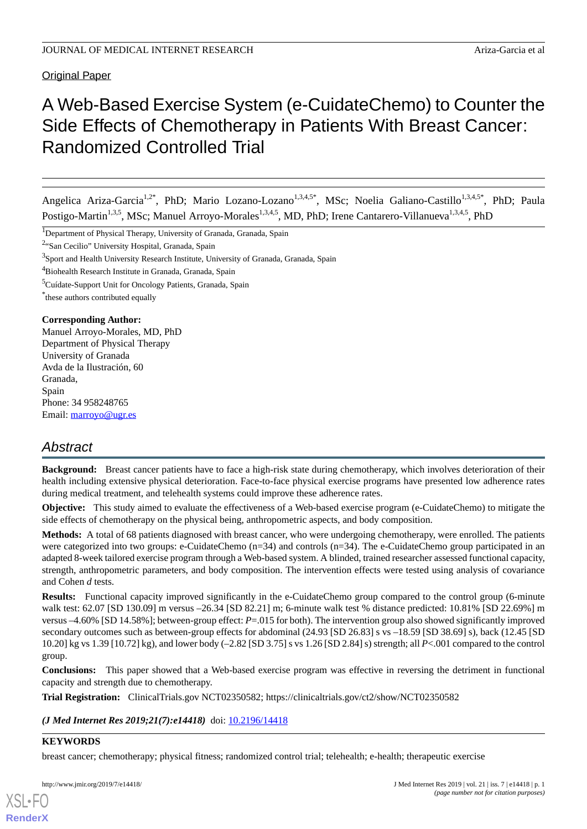Original Paper

# A Web-Based Exercise System (e-CuidateChemo) to Counter the Side Effects of Chemotherapy in Patients With Breast Cancer: Randomized Controlled Trial

Angelica Ariza-Garcia<sup>1,2\*</sup>, PhD; Mario Lozano-Lozano<sup>1,3,4,5\*</sup>, MSc; Noelia Galiano-Castillo<sup>1,3,4,5\*</sup>, PhD; Paula Postigo-Martin<sup>1,3,5</sup>, MSc; Manuel Arroyo-Morales<sup>1,3,4,5</sup>, MD, PhD; Irene Cantarero-Villanueva<sup>1,3,4,5</sup>, PhD

<sup>1</sup>Department of Physical Therapy, University of Granada, Granada, Spain

<sup>2</sup>"San Cecilio" University Hospital, Granada, Spain

<sup>3</sup>Sport and Health University Research Institute, University of Granada, Granada, Spain

<sup>4</sup>Biohealth Research Institute in Granada, Granada, Spain

<sup>5</sup>Cuídate-Support Unit for Oncology Patients, Granada, Spain

\* these authors contributed equally

#### **Corresponding Author:**

Manuel Arroyo-Morales, MD, PhD Department of Physical Therapy University of Granada Avda de la Ilustración, 60 Granada, Spain Phone: 34 958248765 Email: [marroyo@ugr.es](mailto:marroyo@ugr.es)

# *Abstract*

**Background:** Breast cancer patients have to face a high-risk state during chemotherapy, which involves deterioration of their health including extensive physical deterioration. Face-to-face physical exercise programs have presented low adherence rates during medical treatment, and telehealth systems could improve these adherence rates.

**Objective:** This study aimed to evaluate the effectiveness of a Web-based exercise program (e-CuidateChemo) to mitigate the side effects of chemotherapy on the physical being, anthropometric aspects, and body composition.

**Methods:** A total of 68 patients diagnosed with breast cancer, who were undergoing chemotherapy, were enrolled. The patients were categorized into two groups: e-CuidateChemo (n=34) and controls (n=34). The e-CuidateChemo group participated in an adapted 8-week tailored exercise program through a Web-based system. A blinded, trained researcher assessed functional capacity, strength, anthropometric parameters, and body composition. The intervention effects were tested using analysis of covariance and Cohen *d* tests.

**Results:** Functional capacity improved significantly in the e-CuidateChemo group compared to the control group (6-minute) walk test: 62.07 [SD 130.09] m versus –26.34 [SD 82.21] m; 6-minute walk test % distance predicted: 10.81% [SD 22.69%] m versus –4.60% [SD 14.58%]; between-group effect: *P*=.015 for both). The intervention group also showed significantly improved secondary outcomes such as between-group effects for abdominal (24.93 [SD 26.83] s vs –18.59 [SD 38.69] s), back (12.45 [SD 10.20] kg vs 1.39 [10.72] kg), and lower body (–2.82 [SD 3.75] s vs 1.26 [SD 2.84] s) strength; all *P*<.001 compared to the control group.

**Conclusions:** This paper showed that a Web-based exercise program was effective in reversing the detriment in functional capacity and strength due to chemotherapy.

**Trial Registration:** ClinicalTrials.gov NCT02350582; https://clinicaltrials.gov/ct2/show/NCT02350582

*(J Med Internet Res 2019;21(7):e14418)* doi:  $10.2196/14418$ 

#### **KEYWORDS**

[XSL](http://www.w3.org/Style/XSL)•FO **[RenderX](http://www.renderx.com/)**

breast cancer; chemotherapy; physical fitness; randomized control trial; telehealth; e-health; therapeutic exercise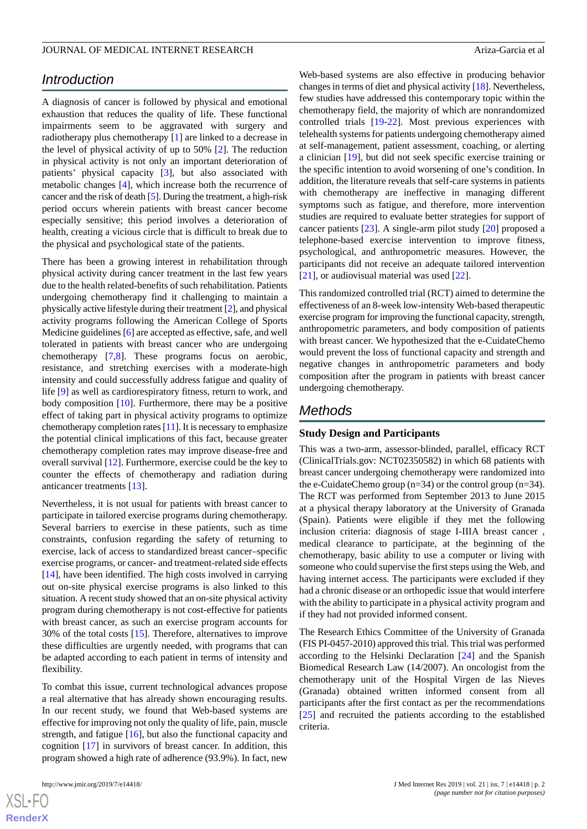# *Introduction*

A diagnosis of cancer is followed by physical and emotional exhaustion that reduces the quality of life. These functional impairments seem to be aggravated with surgery and radiotherapy plus chemotherapy [[1\]](#page-10-0) are linked to a decrease in the level of physical activity of up to 50% [\[2](#page-10-1)]. The reduction in physical activity is not only an important deterioration of patients' physical capacity [\[3](#page-10-2)], but also associated with metabolic changes [[4\]](#page-10-3), which increase both the recurrence of cancer and the risk of death [[5\]](#page-10-4). During the treatment, a high-risk period occurs wherein patients with breast cancer become especially sensitive; this period involves a deterioration of health, creating a vicious circle that is difficult to break due to the physical and psychological state of the patients.

There has been a growing interest in rehabilitation through physical activity during cancer treatment in the last few years due to the health related-benefits of such rehabilitation. Patients undergoing chemotherapy find it challenging to maintain a physically active lifestyle during their treatment [[2\]](#page-10-1), and physical activity programs following the American College of Sports Medicine guidelines [\[6](#page-10-5)] are accepted as effective, safe, and well tolerated in patients with breast cancer who are undergoing chemotherapy [\[7](#page-10-6),[8](#page-10-7)]. These programs focus on aerobic, resistance, and stretching exercises with a moderate-high intensity and could successfully address fatigue and quality of life [[9\]](#page-10-8) as well as cardiorespiratory fitness, return to work, and body composition [[10\]](#page-10-9). Furthermore, there may be a positive effect of taking part in physical activity programs to optimize chemotherapy completion rates  $[11]$  $[11]$ . It is necessary to emphasize the potential clinical implications of this fact, because greater chemotherapy completion rates may improve disease-free and overall survival [[12\]](#page-10-11). Furthermore, exercise could be the key to counter the effects of chemotherapy and radiation during anticancer treatments [[13\]](#page-10-12).

Nevertheless, it is not usual for patients with breast cancer to participate in tailored exercise programs during chemotherapy. Several barriers to exercise in these patients, such as time constraints, confusion regarding the safety of returning to exercise, lack of access to standardized breast cancer–specific exercise programs, or cancer- and treatment-related side effects [[14\]](#page-10-13), have been identified. The high costs involved in carrying out on-site physical exercise programs is also linked to this situation. A recent study showed that an on-site physical activity program during chemotherapy is not cost-effective for patients with breast cancer, as such an exercise program accounts for 30% of the total costs [\[15](#page-10-14)]. Therefore, alternatives to improve these difficulties are urgently needed, with programs that can be adapted according to each patient in terms of intensity and flexibility.

To combat this issue, current technological advances propose a real alternative that has already shown encouraging results. In our recent study, we found that Web-based systems are effective for improving not only the quality of life, pain, muscle strength, and fatigue [[16\]](#page-10-15), but also the functional capacity and cognition [\[17](#page-11-0)] in survivors of breast cancer. In addition, this program showed a high rate of adherence (93.9%). In fact, new

 $XS$  $\cdot$ FC **[RenderX](http://www.renderx.com/)** Web-based systems are also effective in producing behavior changes in terms of diet and physical activity [\[18](#page-11-1)]. Nevertheless, few studies have addressed this contemporary topic within the chemotherapy field, the majority of which are nonrandomized controlled trials [[19-](#page-11-2)[22](#page-11-3)]. Most previous experiences with telehealth systems for patients undergoing chemotherapy aimed at self-management, patient assessment, coaching, or alerting a clinician [\[19](#page-11-2)], but did not seek specific exercise training or the specific intention to avoid worsening of one's condition. In addition, the literature reveals that self-care systems in patients with chemotherapy are ineffective in managing different symptoms such as fatigue, and therefore, more intervention studies are required to evaluate better strategies for support of cancer patients [[23\]](#page-11-4). A single-arm pilot study [[20\]](#page-11-5) proposed a telephone-based exercise intervention to improve fitness, psychological, and anthropometric measures. However, the participants did not receive an adequate tailored intervention [[21\]](#page-11-6), or audiovisual material was used [[22\]](#page-11-3).

This randomized controlled trial (RCT) aimed to determine the effectiveness of an 8-week low-intensity Web-based therapeutic exercise program for improving the functional capacity, strength, anthropometric parameters, and body composition of patients with breast cancer. We hypothesized that the e-CuidateChemo would prevent the loss of functional capacity and strength and negative changes in anthropometric parameters and body composition after the program in patients with breast cancer undergoing chemotherapy.

# *Methods*

#### **Study Design and Participants**

This was a two-arm, assessor-blinded, parallel, efficacy RCT (ClinicalTrials.gov: NCT02350582) in which 68 patients with breast cancer undergoing chemotherapy were randomized into the e-CuidateChemo group (n=34) or the control group (n=34). The RCT was performed from September 2013 to June 2015 at a physical therapy laboratory at the University of Granada (Spain). Patients were eligible if they met the following inclusion criteria: diagnosis of stage I-IIIA breast cancer , medical clearance to participate, at the beginning of the chemotherapy, basic ability to use a computer or living with someone who could supervise the first steps using the Web, and having internet access. The participants were excluded if they had a chronic disease or an orthopedic issue that would interfere with the ability to participate in a physical activity program and if they had not provided informed consent.

The Research Ethics Committee of the University of Granada (FIS PI-0457-2010) approved this trial. This trial was performed according to the Helsinki Declaration [\[24](#page-11-7)] and the Spanish Biomedical Research Law (14/2007). An oncologist from the chemotherapy unit of the Hospital Virgen de las Nieves (Granada) obtained written informed consent from all participants after the first contact as per the recommendations [[25\]](#page-11-8) and recruited the patients according to the established criteria.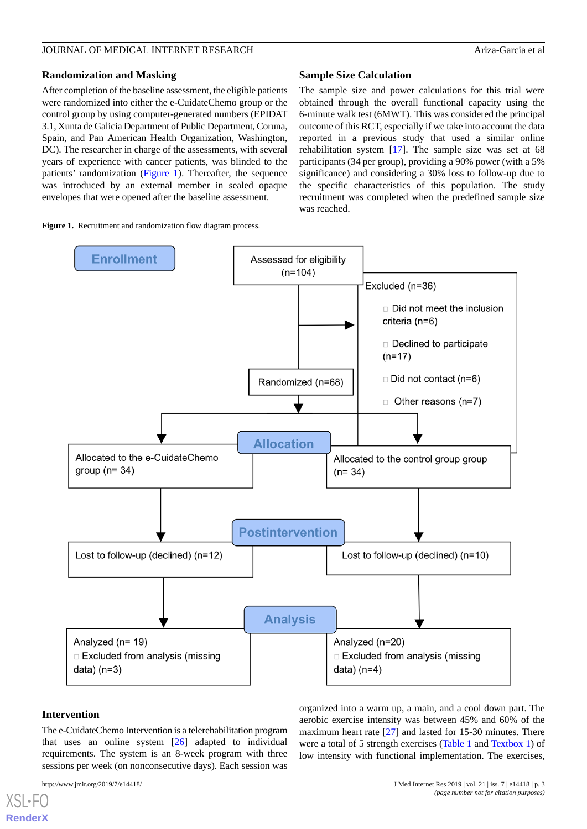#### **Randomization and Masking**

After completion of the baseline assessment, the eligible patients were randomized into either the e-CuidateChemo group or the control group by using computer-generated numbers (EPIDAT 3.1, Xunta de Galicia Department of Public Department, Coruna, Spain, and Pan American Health Organization, Washington, DC). The researcher in charge of the assessments, with several years of experience with cancer patients, was blinded to the patients' randomization ([Figure 1\)](#page-2-0). Thereafter, the sequence was introduced by an external member in sealed opaque envelopes that were opened after the baseline assessment.

<span id="page-2-0"></span>**Figure 1.** Recruitment and randomization flow diagram process.

#### **Sample Size Calculation**

The sample size and power calculations for this trial were obtained through the overall functional capacity using the 6-minute walk test (6MWT). This was considered the principal outcome of this RCT, especially if we take into account the data reported in a previous study that used a similar online rehabilitation system [\[17](#page-11-0)]. The sample size was set at 68 participants (34 per group), providing a 90% power (with a 5% significance) and considering a 30% loss to follow-up due to the specific characteristics of this population. The study recruitment was completed when the predefined sample size was reached.



#### **Intervention**

[XSL](http://www.w3.org/Style/XSL)•FO **[RenderX](http://www.renderx.com/)**

The e-CuidateChemo Intervention is a telerehabilitation program that uses an online system [\[26](#page-11-9)] adapted to individual requirements. The system is an 8-week program with three sessions per week (on nonconsecutive days). Each session was

organized into a warm up, a main, and a cool down part. The aerobic exercise intensity was between 45% and 60% of the maximum heart rate [\[27](#page-11-10)] and lasted for 15-30 minutes. There were a total of 5 strength exercises ([Table 1](#page-3-0) and [Textbox 1](#page-3-1)) of low intensity with functional implementation. The exercises,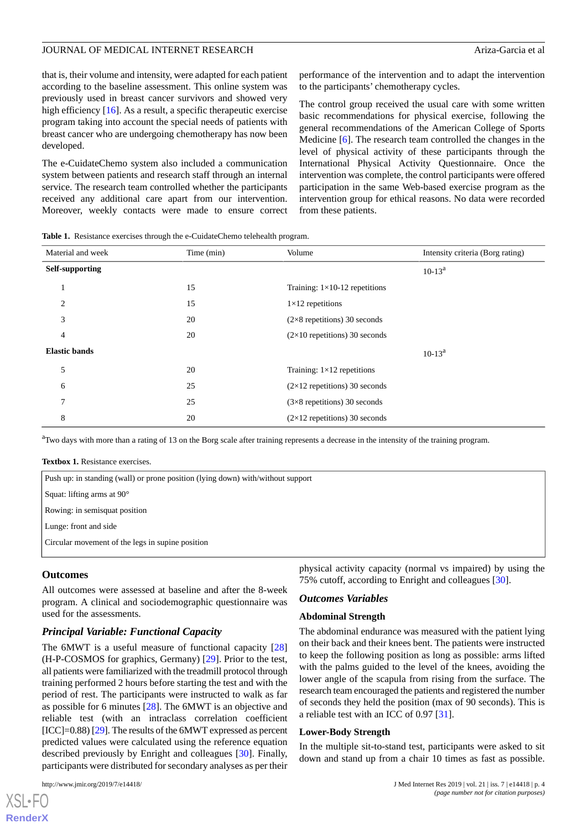that is, their volume and intensity, were adapted for each patient according to the baseline assessment. This online system was previously used in breast cancer survivors and showed very high efficiency [[16\]](#page-10-15). As a result, a specific therapeutic exercise program taking into account the special needs of patients with breast cancer who are undergoing chemotherapy has now been developed.

The e-CuidateChemo system also included a communication system between patients and research staff through an internal service. The research team controlled whether the participants received any additional care apart from our intervention. Moreover, weekly contacts were made to ensure correct performance of the intervention and to adapt the intervention to the participants' chemotherapy cycles.

The control group received the usual care with some written basic recommendations for physical exercise, following the general recommendations of the American College of Sports Medicine [\[6](#page-10-5)]. The research team controlled the changes in the level of physical activity of these participants through the International Physical Activity Questionnaire. Once the intervention was complete, the control participants were offered participation in the same Web-based exercise program as the intervention group for ethical reasons. No data were recorded from these patients.

<span id="page-3-0"></span>**Table 1.** Resistance exercises through the e-CuidateChemo telehealth program.

| Material and week    | Time (min) | Volume                               | Intensity criteria (Borg rating) |
|----------------------|------------|--------------------------------------|----------------------------------|
| Self-supporting      |            |                                      | $10-13^a$                        |
| $\mathbf{1}$         | 15         | Training: $1\times10-12$ repetitions |                                  |
| 2                    | 15         | $1\times12$ repetitions              |                                  |
| 3                    | 20         | $(2\times8$ repetitions) 30 seconds  |                                  |
| 4                    | 20         | $(2\times10$ repetitions) 30 seconds |                                  |
| <b>Elastic bands</b> |            |                                      | $10-13^a$                        |
| 5                    | 20         | Training: $1\times12$ repetitions    |                                  |
| 6                    | 25         | $(2\times12$ repetitions) 30 seconds |                                  |
| $\overline{7}$       | 25         | $(3\times8$ repetitions) 30 seconds  |                                  |
| 8                    | 20         | $(2\times12$ repetitions) 30 seconds |                                  |

<span id="page-3-1"></span><sup>a</sup>Two days with more than a rating of 13 on the Borg scale after training represents a decrease in the intensity of the training program.

**Textbox 1.** Resistance exercises.

| Push up: in standing (wall) or prone position (lying down) with/without support |  |
|---------------------------------------------------------------------------------|--|
| Squat: lifting arms at $90^{\circ}$                                             |  |

Rowing: in semisquat position

Lunge: front and side

Circular movement of the legs in supine position

#### **Outcomes**

All outcomes were assessed at baseline and after the 8-week program. A clinical and sociodemographic questionnaire was used for the assessments.

#### *Principal Variable: Functional Capacity*

The 6MWT is a useful measure of functional capacity [\[28](#page-11-11)] (H-P-COSMOS for graphics, Germany) [[29\]](#page-11-12). Prior to the test, all patients were familiarized with the treadmill protocol through training performed 2 hours before starting the test and with the period of rest. The participants were instructed to walk as far as possible for 6 minutes [\[28](#page-11-11)]. The 6MWT is an objective and reliable test (with an intraclass correlation coefficient  $[ICC] = 0.88$  [\[29](#page-11-12)]. The results of the 6MWT expressed as percent predicted values were calculated using the reference equation described previously by Enright and colleagues [\[30](#page-11-13)]. Finally, participants were distributed for secondary analyses as per their

[XSL](http://www.w3.org/Style/XSL)•FO **[RenderX](http://www.renderx.com/)**

physical activity capacity (normal vs impaired) by using the 75% cutoff, according to Enright and colleagues [[30\]](#page-11-13).

#### *Outcomes Variables*

#### **Abdominal Strength**

The abdominal endurance was measured with the patient lying on their back and their knees bent. The patients were instructed to keep the following position as long as possible: arms lifted with the palms guided to the level of the knees, avoiding the lower angle of the scapula from rising from the surface. The research team encouraged the patients and registered the number of seconds they held the position (max of 90 seconds). This is a reliable test with an ICC of 0.97 [\[31](#page-11-14)].

#### **Lower-Body Strength**

In the multiple sit-to-stand test, participants were asked to sit down and stand up from a chair 10 times as fast as possible.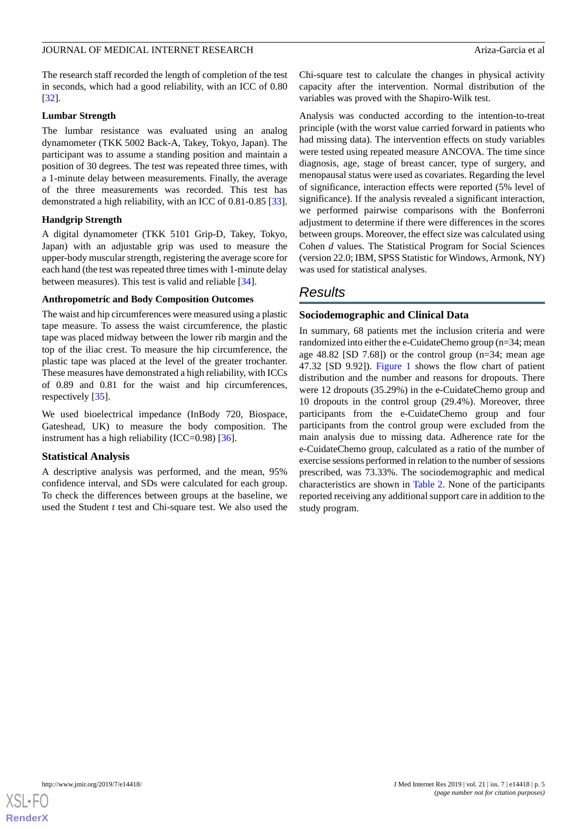The research staff recorded the length of completion of the test in seconds, which had a good reliability, with an ICC of 0.80 [[32\]](#page-11-15).

#### **Lumbar Strength**

The lumbar resistance was evaluated using an analog dynamometer (TKK 5002 Back-A, Takey, Tokyo, Japan). The participant was to assume a standing position and maintain a position of 30 degrees. The test was repeated three times, with a 1-minute delay between measurements. Finally, the average of the three measurements was recorded. This test has demonstrated a high reliability, with an ICC of 0.81-0.85 [[33\]](#page-11-16).

#### **Handgrip Strength**

A digital dynamometer (TKK 5101 Grip-D, Takey, Tokyo, Japan) with an adjustable grip was used to measure the upper-body muscular strength, registering the average score for each hand (the test was repeated three times with 1-minute delay between measures). This test is valid and reliable [[34\]](#page-11-17).

#### **Anthropometric and Body Composition Outcomes**

The waist and hip circumferences were measured using a plastic tape measure. To assess the waist circumference, the plastic tape was placed midway between the lower rib margin and the top of the iliac crest. To measure the hip circumference, the plastic tape was placed at the level of the greater trochanter. These measures have demonstrated a high reliability, with ICCs of 0.89 and 0.81 for the waist and hip circumferences, respectively [\[35](#page-11-18)].

We used bioelectrical impedance (InBody 720, Biospace, Gateshead, UK) to measure the body composition. The instrument has a high reliability (ICC=0.98)  $[36]$  $[36]$ .

#### **Statistical Analysis**

A descriptive analysis was performed, and the mean, 95% confidence interval, and SDs were calculated for each group. To check the differences between groups at the baseline, we used the Student *t* test and Chi-square test. We also used the Chi-square test to calculate the changes in physical activity capacity after the intervention. Normal distribution of the variables was proved with the Shapiro-Wilk test.

Analysis was conducted according to the intention-to-treat principle (with the worst value carried forward in patients who had missing data). The intervention effects on study variables were tested using repeated measure ANCOVA. The time since diagnosis, age, stage of breast cancer, type of surgery, and menopausal status were used as covariates. Regarding the level of significance, interaction effects were reported (5% level of significance). If the analysis revealed a significant interaction, we performed pairwise comparisons with the Bonferroni adjustment to determine if there were differences in the scores between groups. Moreover, the effect size was calculated using Cohen *d* values. The Statistical Program for Social Sciences (version 22.0; IBM, SPSS Statistic for Windows, Armonk, NY) was used for statistical analyses.

# *Results*

#### **Sociodemographic and Clinical Data**

In summary, 68 patients met the inclusion criteria and were randomized into either the e-CuidateChemo group (n=34; mean age 48.82 [SD 7.68]) or the control group (n=34; mean age 47.32 [SD 9.92]). [Figure 1](#page-2-0) shows the flow chart of patient distribution and the number and reasons for dropouts. There were 12 dropouts (35.29%) in the e-CuidateChemo group and 10 dropouts in the control group (29.4%). Moreover, three participants from the e-CuidateChemo group and four participants from the control group were excluded from the main analysis due to missing data. Adherence rate for the e-CuidateChemo group, calculated as a ratio of the number of exercise sessions performed in relation to the number of sessions prescribed, was 73.33%. The sociodemographic and medical characteristics are shown in [Table 2](#page-5-0). None of the participants reported receiving any additional support care in addition to the study program.

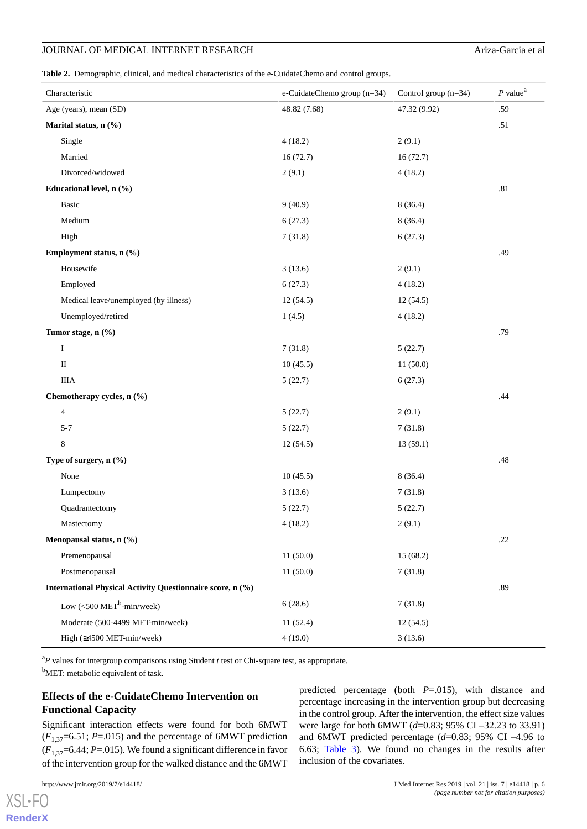<span id="page-5-0"></span>**Table 2.** Demographic, clinical, and medical characteristics of the e-CuidateChemo and control groups.

| Characteristic                                             | e-CuidateChemo group (n=34) | Control group $(n=34)$ | $P$ value <sup>a</sup> |
|------------------------------------------------------------|-----------------------------|------------------------|------------------------|
| Age (years), mean (SD)                                     | 48.82 (7.68)                | 47.32 (9.92)           | .59                    |
| Marital status, n (%)                                      |                             |                        | .51                    |
| Single                                                     | 4(18.2)                     | 2(9.1)                 |                        |
| Married                                                    | 16(72.7)                    | 16(72.7)               |                        |
| Divorced/widowed                                           | 2(9.1)                      | 4(18.2)                |                        |
| Educational level, n (%)                                   |                             |                        | $.81\,$                |
| Basic                                                      | 9(40.9)                     | 8(36.4)                |                        |
| Medium                                                     | 6(27.3)                     | 8(36.4)                |                        |
| High                                                       | 7(31.8)                     | 6(27.3)                |                        |
| Employment status, n (%)                                   |                             |                        | .49                    |
| Housewife                                                  | 3(13.6)                     | 2(9.1)                 |                        |
| Employed                                                   | 6(27.3)                     | 4(18.2)                |                        |
| Medical leave/unemployed (by illness)                      | 12(54.5)                    | 12(54.5)               |                        |
| Unemployed/retired                                         | 1(4.5)                      | 4(18.2)                |                        |
| Tumor stage, n (%)                                         |                             |                        | .79                    |
| $\bf{I}$                                                   | 7(31.8)                     | 5(22.7)                |                        |
| $\rm II$                                                   | 10(45.5)                    | 11(50.0)               |                        |
| <b>IIIA</b>                                                | 5(22.7)                     | 6(27.3)                |                        |
| Chemotherapy cycles, n (%)                                 |                             |                        | .44                    |
| $\overline{4}$                                             | 5(22.7)                     | 2(9.1)                 |                        |
| $5 - 7$                                                    | 5(22.7)                     | 7(31.8)                |                        |
| 8                                                          | 12(54.5)                    | 13(59.1)               |                        |
| Type of surgery, n (%)                                     |                             |                        | $.48\,$                |
| None                                                       | 10(45.5)                    | 8(36.4)                |                        |
| Lumpectomy                                                 | 3(13.6)                     | 7(31.8)                |                        |
| Quadrantectomy                                             | 5(22.7)                     | 5(22.7)                |                        |
| Mastectomy                                                 | 4(18.2)                     | 2(9.1)                 |                        |
| Menopausal status, n (%)                                   |                             |                        | .22                    |
| Premenopausal                                              | 11(50.0)                    | 15(68.2)               |                        |
| Postmenopausal                                             | 11(50.0)                    | 7(31.8)                |                        |
| International Physical Activity Questionnaire score, n (%) |                             |                        | .89                    |
| Low $\left( < 500 \text{ MET}^b \text{-min/week} \right)$  | 6(28.6)                     | 7(31.8)                |                        |
| Moderate (500-4499 MET-min/week)                           | 11(52.4)                    | 12(54.5)               |                        |
| High (≥4500 MET-min/week)                                  | 4(19.0)                     | 3(13.6)                |                        |

<sup>a</sup>P values for intergroup comparisons using Student *t* test or Chi-square test, as appropriate.

<sup>b</sup>MET: metabolic equivalent of task.

### **Effects of the e-CuidateChemo Intervention on Functional Capacity**

Significant interaction effects were found for both 6MWT  $(F_{1,37}=6.51; P_{1}=0.015)$  and the percentage of 6MWT prediction  $(F_{1,37}=6.44; P=0.015)$ . We found a significant difference in favor of the intervention group for the walked distance and the 6MWT

[XSL](http://www.w3.org/Style/XSL)•FO **[RenderX](http://www.renderx.com/)** predicted percentage (both *P*=.015), with distance and percentage increasing in the intervention group but decreasing in the control group. After the intervention, the effect size values were large for both 6MWT (*d*=0.83; 95% CI –32.23 to 33.91) and 6MWT predicted percentage (*d*=0.83; 95% CI –4.96 to 6.63; [Table 3\)](#page-6-0). We found no changes in the results after inclusion of the covariates.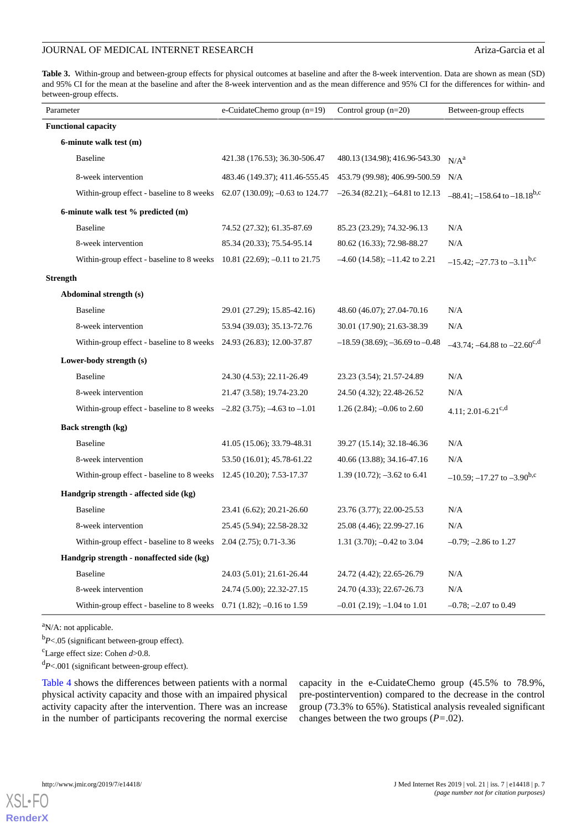<span id="page-6-0"></span>**Table 3.** Within-group and between-group effects for physical outcomes at baseline and after the 8-week intervention. Data are shown as mean (SD) and 95% CI for the mean at the baseline and after the 8-week intervention and as the mean difference and 95% CI for the differences for within- and between-group effects.

| Parameter                                                                    | e-CuidateChemo group (n=19)    | Control group $(n=20)$                | Between-group effects                          |
|------------------------------------------------------------------------------|--------------------------------|---------------------------------------|------------------------------------------------|
| <b>Functional capacity</b>                                                   |                                |                                       |                                                |
| 6-minute walk test (m)                                                       |                                |                                       |                                                |
| <b>Baseline</b>                                                              | 421.38 (176.53); 36.30-506.47  | 480.13 (134.98); 416.96-543.30        | N/A <sup>a</sup>                               |
| 8-week intervention                                                          | 483.46 (149.37); 411.46-555.45 | 453.79 (99.98); 406.99-500.59         | N/A                                            |
| Within-group effect - baseline to 8 weeks 62.07 (130.09); -0.63 to 124.77    |                                | $-26.34(82.21); -64.81$ to 12.13      | $-88.41; -158.64$ to $-18.18$ <sup>b,c</sup>   |
| 6-minute walk test % predicted (m)                                           |                                |                                       |                                                |
| <b>Baseline</b>                                                              | 74.52 (27.32); 61.35-87.69     | 85.23 (23.29); 74.32-96.13            | N/A                                            |
| 8-week intervention                                                          | 85.34 (20.33); 75.54-95.14     | 80.62 (16.33); 72.98-88.27            | N/A                                            |
| Within-group effect - baseline to 8 weeks $10.81$ (22.69); -0.11 to 21.75    |                                | $-4.60$ (14.58); $-11.42$ to 2.21     | $-15.42$ ; $-27.73$ to $-3.11$ <sup>b,c</sup>  |
| <b>Strength</b>                                                              |                                |                                       |                                                |
| Abdominal strength (s)                                                       |                                |                                       |                                                |
| <b>Baseline</b>                                                              | 29.01 (27.29); 15.85-42.16)    | 48.60 (46.07); 27.04-70.16            | N/A                                            |
| 8-week intervention                                                          | 53.94 (39.03); 35.13-72.76     | 30.01 (17.90); 21.63-38.39            | N/A                                            |
| Within-group effect - baseline to 8 weeks 24.93 (26.83); 12.00-37.87         |                                | $-18.59(38.69)$ ; $-36.69$ to $-0.48$ | $-43.74$ ; $-64.88$ to $-22.60$ <sup>c,d</sup> |
| Lower-body strength (s)                                                      |                                |                                       |                                                |
| <b>Baseline</b>                                                              | 24.30 (4.53); 22.11-26.49      | 23.23 (3.54); 21.57-24.89             | N/A                                            |
| 8-week intervention                                                          | 21.47 (3.58); 19.74-23.20      | 24.50 (4.32); 22.48-26.52             | N/A                                            |
| Within-group effect - baseline to 8 weeks $-2.82$ (3.75); $-4.63$ to $-1.01$ |                                | 1.26 (2.84); $-0.06$ to 2.60          | 4.11; 2.01-6.21 <sup>c,d</sup>                 |
| Back strength (kg)                                                           |                                |                                       |                                                |
| <b>Baseline</b>                                                              | 41.05 (15.06); 33.79-48.31     | 39.27 (15.14); 32.18-46.36            | N/A                                            |
| 8-week intervention                                                          | 53.50 (16.01); 45.78-61.22     | 40.66 (13.88); 34.16-47.16            | N/A                                            |
| Within-group effect - baseline to 8 weeks 12.45 (10.20); 7.53-17.37          |                                | 1.39 $(10.72)$ ; $-3.62$ to 6.41      | $-10.59$ ; $-17.27$ to $-3.90$ <sup>b,c</sup>  |
| Handgrip strength - affected side (kg)                                       |                                |                                       |                                                |
| <b>Baseline</b>                                                              | 23.41 (6.62); 20.21-26.60      | 23.76 (3.77); 22.00-25.53             | N/A                                            |
| 8-week intervention                                                          | 25.45 (5.94); 22.58-28.32      | 25.08 (4.46); 22.99-27.16             | N/A                                            |
| Within-group effect - baseline to 8 weeks 2.04 (2.75); 0.71-3.36             |                                | 1.31 (3.70); $-0.42$ to 3.04          | $-0.79; -2.86$ to 1.27                         |
| Handgrip strength - nonaffected side (kg)                                    |                                |                                       |                                                |
| <b>Baseline</b>                                                              | 24.03 (5.01); 21.61-26.44      | 24.72 (4.42); 22.65-26.79             | N/A                                            |
| 8-week intervention                                                          | 24.74 (5.00); 22.32-27.15      | 24.70 (4.33); 22.67-26.73             | N/A                                            |
| Within-group effect - baseline to 8 weeks $0.71$ (1.82); -0.16 to 1.59       |                                | $-0.01$ (2.19); $-1.04$ to 1.01       | $-0.78$ ; $-2.07$ to 0.49                      |

 $a$ N/A: not applicable.

<sup>b</sup>*P*<.05 (significant between-group effect).

<sup>c</sup>Large effect size: Cohen *d*>0.8.

<sup>d</sup>*P*<.001 (significant between-group effect).

[Table 4](#page-7-0) shows the differences between patients with a normal physical activity capacity and those with an impaired physical activity capacity after the intervention. There was an increase in the number of participants recovering the normal exercise capacity in the e-CuidateChemo group (45.5% to 78.9%, pre-postintervention) compared to the decrease in the control group (73.3% to 65%). Statistical analysis revealed significant changes between the two groups (*P=*.02).

[XSL](http://www.w3.org/Style/XSL)•FO **[RenderX](http://www.renderx.com/)**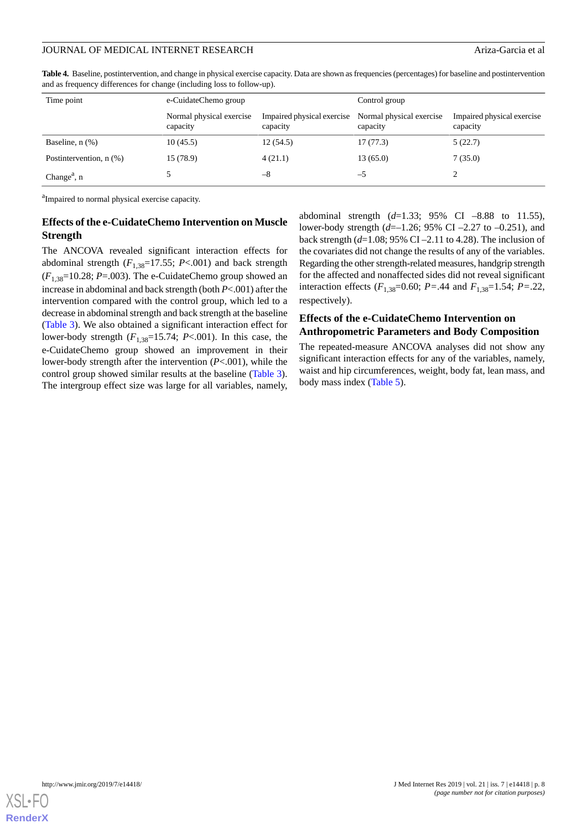| Time point                           | e-CuidateChemo group                 |                                        | Control group                        |                                        |
|--------------------------------------|--------------------------------------|----------------------------------------|--------------------------------------|----------------------------------------|
|                                      | Normal physical exercise<br>capacity | Impaired physical exercise<br>capacity | Normal physical exercise<br>capacity | Impaired physical exercise<br>capacity |
| Baseline, $n$ $(\%)$                 | 10(45.5)                             | 12(54.5)                               | 17(77.3)                             | 5(22.7)                                |
| Postintervention, n (%)              | 15 (78.9)                            | 4(21.1)                                | 13(65.0)                             | 7(35.0)                                |
| Change <sup><math>a</math></sup> , n |                                      | -8                                     | —ე                                   |                                        |

<span id="page-7-0"></span>Table 4. Baseline, postintervention, and change in physical exercise capacity. Data are shown as frequencies (percentages) for baseline and postintervention and as frequency differences for change (including loss to follow-up).

<sup>a</sup>Impaired to normal physical exercise capacity.

#### **Effects of the e-CuidateChemo Intervention on Muscle Strength**

The ANCOVA revealed significant interaction effects for abdominal strength  $(F_{1,38}=17.55; P<.001)$  and back strength  $(F_{1,38}=10.28; P_{1}=0.03)$ . The e-CuidateChemo group showed an increase in abdominal and back strength (both *P*<.001) after the intervention compared with the control group, which led to a decrease in abdominal strength and back strength at the baseline ([Table 3\)](#page-6-0). We also obtained a significant interaction effect for lower-body strength  $(F_{1,38}=15.74; P<.001)$ . In this case, the e-CuidateChemo group showed an improvement in their lower-body strength after the intervention (*P*<.001), while the control group showed similar results at the baseline [\(Table 3\)](#page-6-0). The intergroup effect size was large for all variables, namely,

abdominal strength (*d*=1.33; 95% CI –8.88 to 11.55), lower-body strength (*d*=–1.26; 95% CI –2.27 to –0.251), and back strength (*d*=1.08; 95% CI –2.11 to 4.28). The inclusion of the covariates did not change the results of any of the variables. Regarding the other strength-related measures, handgrip strength for the affected and nonaffected sides did not reveal significant interaction effects ( $F_{1,38}$ =0.60;  $P = .44$  and  $F_{1,38}$ =1.54;  $P = .22$ , respectively).

#### **Effects of the e-CuidateChemo Intervention on Anthropometric Parameters and Body Composition**

The repeated-measure ANCOVA analyses did not show any significant interaction effects for any of the variables, namely, waist and hip circumferences, weight, body fat, lean mass, and body mass index [\(Table 5](#page-8-0)).

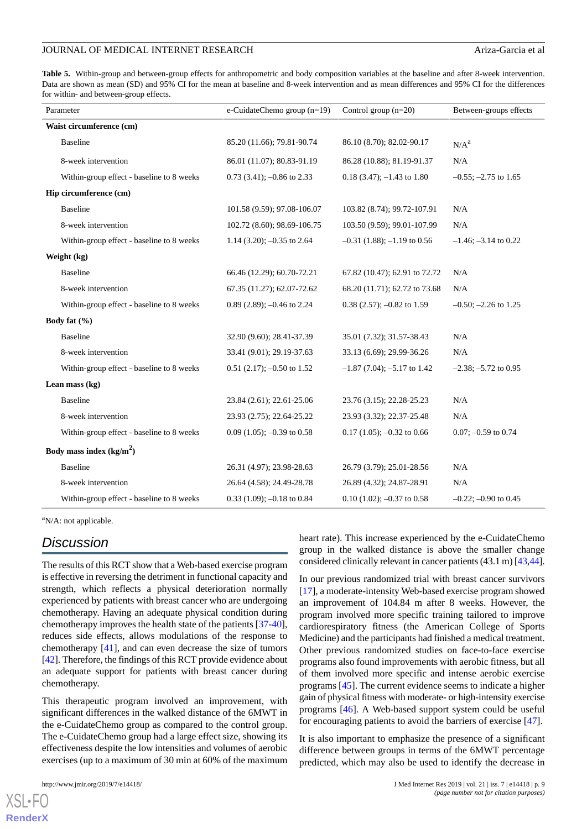<span id="page-8-0"></span>**Table 5.** Within-group and between-group effects for anthropometric and body composition variables at the baseline and after 8-week intervention. Data are shown as mean (SD) and 95% CI for the mean at baseline and 8-week intervention and as mean differences and 95% CI for the differences for within- and between-group effects.

| Parameter                                 | e-CuidateChemo group $(n=19)$  | Control group $(n=20)$          | Between-groups effects    |
|-------------------------------------------|--------------------------------|---------------------------------|---------------------------|
| Waist circumference (cm)                  |                                |                                 |                           |
| <b>Baseline</b>                           | 85.20 (11.66); 79.81-90.74     | 86.10 (8.70); 82.02-90.17       | $N/A^a$                   |
| 8-week intervention                       | 86.01 (11.07); 80.83-91.19     | 86.28 (10.88); 81.19-91.37      | N/A                       |
| Within-group effect - baseline to 8 weeks | $0.73$ (3.41); -0.86 to 2.33   | $0.18(3.47)$ ; $-1.43$ to 1.80  | $-0.55$ ; $-2.75$ to 1.65 |
| Hip circumference (cm)                    |                                |                                 |                           |
| <b>Baseline</b>                           | 101.58 (9.59); 97.08-106.07    | 103.82 (8.74); 99.72-107.91     | N/A                       |
| 8-week intervention                       | 102.72 (8.60); 98.69-106.75    | 103.50 (9.59); 99.01-107.99     | N/A                       |
| Within-group effect - baseline to 8 weeks | 1.14 (3.20); $-0.35$ to 2.64   | $-0.31$ (1.88); $-1.19$ to 0.56 | $-1.46$ ; $-3.14$ to 0.22 |
| Weight (kg)                               |                                |                                 |                           |
| <b>Baseline</b>                           | 66.46 (12.29); 60.70-72.21     | 67.82 (10.47); 62.91 to 72.72   | N/A                       |
| 8-week intervention                       | 67.35 (11.27); 62.07-72.62     | 68.20 (11.71); 62.72 to 73.68   | N/A                       |
| Within-group effect - baseline to 8 weeks | 0.89 (2.89); $-0.46$ to 2.24   | $0.38$ (2.57); -0.82 to 1.59    | $-0.50$ ; $-2.26$ to 1.25 |
| Body fat $(\% )$                          |                                |                                 |                           |
| <b>Baseline</b>                           | 32.90 (9.60); 28.41-37.39      | 35.01 (7.32); 31.57-38.43       | N/A                       |
| 8-week intervention                       | 33.41 (9.01); 29.19-37.63      | 33.13 (6.69); 29.99-36.26       | N/A                       |
| Within-group effect - baseline to 8 weeks | $0.51$ (2.17); -0.50 to 1.52   | $-1.87$ (7.04); $-5.17$ to 1.42 | $-2.38$ ; $-5.72$ to 0.95 |
| Lean mass $(kg)$                          |                                |                                 |                           |
| <b>Baseline</b>                           | 23.84 (2.61); 22.61-25.06      | 23.76 (3.15); 22.28-25.23       | N/A                       |
| 8-week intervention                       | 23.93 (2.75); 22.64-25.22      | 23.93 (3.32); 22.37-25.48       | N/A                       |
| Within-group effect - baseline to 8 weeks | $0.09(1.05)$ ; $-0.39$ to 0.58 | $0.17$ (1.05); -0.32 to 0.66    | $0.07; -0.59$ to 0.74     |
| Body mass index $(kg/m2)$                 |                                |                                 |                           |
| <b>Baseline</b>                           | 26.31 (4.97); 23.98-28.63      | 26.79 (3.79); 25.01-28.56       | N/A                       |
| 8-week intervention                       | 26.64 (4.58); 24.49-28.78      | 26.89 (4.32); 24.87-28.91       | N/A                       |
| Within-group effect - baseline to 8 weeks | $0.33$ (1.09); -0.18 to 0.84   | $0.10(1.02)$ ; -0.37 to 0.58    | $-0.22$ ; $-0.90$ to 0.45 |

<sup>a</sup>N/A: not applicable.

# *Discussion*

The results of this RCT show that a Web-based exercise program is effective in reversing the detriment in functional capacity and strength, which reflects a physical deterioration normally experienced by patients with breast cancer who are undergoing chemotherapy. Having an adequate physical condition during chemotherapy improves the health state of the patients [\[37](#page-11-20)-[40\]](#page-12-0), reduces side effects, allows modulations of the response to chemotherapy [[41\]](#page-12-1), and can even decrease the size of tumors [[42\]](#page-12-2). Therefore, the findings of this RCT provide evidence about an adequate support for patients with breast cancer during chemotherapy.

This therapeutic program involved an improvement, with significant differences in the walked distance of the 6MWT in the e-CuidateChemo group as compared to the control group. The e-CuidateChemo group had a large effect size, showing its effectiveness despite the low intensities and volumes of aerobic exercises (up to a maximum of 30 min at 60% of the maximum

[XSL](http://www.w3.org/Style/XSL)•FO **[RenderX](http://www.renderx.com/)**

heart rate). This increase experienced by the e-CuidateChemo group in the walked distance is above the smaller change considered clinically relevant in cancer patients (43.1 m) [\[43](#page-12-3)[,44](#page-12-4)].

In our previous randomized trial with breast cancer survivors [[17\]](#page-11-0), a moderate-intensity Web-based exercise program showed an improvement of 104.84 m after 8 weeks. However, the program involved more specific training tailored to improve cardiorespiratory fitness (the American College of Sports Medicine) and the participants had finished a medical treatment. Other previous randomized studies on face-to-face exercise programs also found improvements with aerobic fitness, but all of them involved more specific and intense aerobic exercise programs [[45\]](#page-12-5). The current evidence seems to indicate a higher gain of physical fitness with moderate- or high-intensity exercise programs [\[46](#page-12-6)]. A Web-based support system could be useful for encouraging patients to avoid the barriers of exercise [[47\]](#page-12-7).

It is also important to emphasize the presence of a significant difference between groups in terms of the 6MWT percentage predicted, which may also be used to identify the decrease in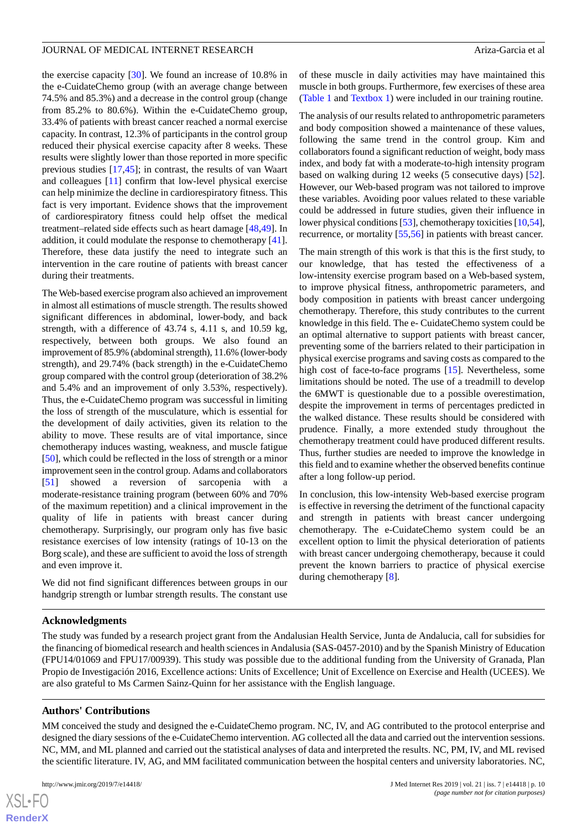the exercise capacity [\[30](#page-11-13)]. We found an increase of 10.8% in the e-CuidateChemo group (with an average change between 74.5% and 85.3%) and a decrease in the control group (change from 85.2% to 80.6%). Within the e-CuidateChemo group, 33.4% of patients with breast cancer reached a normal exercise capacity. In contrast, 12.3% of participants in the control group reduced their physical exercise capacity after 8 weeks. These results were slightly lower than those reported in more specific previous studies [\[17](#page-11-0),[45\]](#page-12-5); in contrast, the results of van Waart and colleagues [\[11](#page-10-10)] confirm that low-level physical exercise can help minimize the decline in cardiorespiratory fitness. This fact is very important. Evidence shows that the improvement of cardiorespiratory fitness could help offset the medical treatment–related side effects such as heart damage [[48,](#page-12-8)[49](#page-12-9)]. In addition, it could modulate the response to chemotherapy [[41\]](#page-12-1). Therefore, these data justify the need to integrate such an intervention in the care routine of patients with breast cancer during their treatments.

The Web-based exercise program also achieved an improvement in almost all estimations of muscle strength. The results showed significant differences in abdominal, lower-body, and back strength, with a difference of 43.74 s, 4.11 s, and 10.59 kg, respectively, between both groups. We also found an improvement of 85.9% (abdominal strength), 11.6% (lower-body strength), and 29.74% (back strength) in the e-CuidateChemo group compared with the control group (deterioration of 38.2% and 5.4% and an improvement of only 3.53%, respectively). Thus, the e-CuidateChemo program was successful in limiting the loss of strength of the musculature, which is essential for the development of daily activities, given its relation to the ability to move. These results are of vital importance, since chemotherapy induces wasting, weakness, and muscle fatigue [[50\]](#page-12-10), which could be reflected in the loss of strength or a minor improvement seen in the control group. Adams and collaborators [[51\]](#page-12-11) showed a reversion of sarcopenia with moderate-resistance training program (between 60% and 70% of the maximum repetition) and a clinical improvement in the quality of life in patients with breast cancer during chemotherapy. Surprisingly, our program only has five basic resistance exercises of low intensity (ratings of 10-13 on the Borg scale), and these are sufficient to avoid the loss of strength and even improve it.

We did not find significant differences between groups in our handgrip strength or lumbar strength results. The constant use

of these muscle in daily activities may have maintained this muscle in both groups. Furthermore, few exercises of these area ([Table 1](#page-3-0) and [Textbox 1\)](#page-3-1) were included in our training routine.

The analysis of our results related to anthropometric parameters and body composition showed a maintenance of these values, following the same trend in the control group. Kim and collaborators found a significant reduction of weight, body mass index, and body fat with a moderate-to-high intensity program based on walking during 12 weeks (5 consecutive days) [[52\]](#page-12-12). However, our Web-based program was not tailored to improve these variables. Avoiding poor values related to these variable could be addressed in future studies, given their influence in lower physical conditions [[53](#page-12-13)], chemotherapy toxicities [[10,](#page-10-9)[54](#page-12-14)], recurrence, or mortality [\[55](#page-12-15),[56\]](#page-12-16) in patients with breast cancer.

The main strength of this work is that this is the first study, to our knowledge, that has tested the effectiveness of a low-intensity exercise program based on a Web-based system, to improve physical fitness, anthropometric parameters, and body composition in patients with breast cancer undergoing chemotherapy. Therefore, this study contributes to the current knowledge in this field. The e- CuidateChemo system could be an optimal alternative to support patients with breast cancer, preventing some of the barriers related to their participation in physical exercise programs and saving costs as compared to the high cost of face-to-face programs [\[15](#page-10-14)]. Nevertheless, some limitations should be noted. The use of a treadmill to develop the 6MWT is questionable due to a possible overestimation, despite the improvement in terms of percentages predicted in the walked distance. These results should be considered with prudence. Finally, a more extended study throughout the chemotherapy treatment could have produced different results. Thus, further studies are needed to improve the knowledge in this field and to examine whether the observed benefits continue after a long follow-up period.

In conclusion, this low-intensity Web-based exercise program is effective in reversing the detriment of the functional capacity and strength in patients with breast cancer undergoing chemotherapy. The e-CuidateChemo system could be an excellent option to limit the physical deterioration of patients with breast cancer undergoing chemotherapy, because it could prevent the known barriers to practice of physical exercise during chemotherapy [[8\]](#page-10-7).

#### **Acknowledgments**

The study was funded by a research project grant from the Andalusian Health Service, Junta de Andalucia, call for subsidies for the financing of biomedical research and health sciences in Andalusia (SAS-0457-2010) and by the Spanish Ministry of Education (FPU14/01069 and FPU17/00939). This study was possible due to the additional funding from the University of Granada, Plan Propio de Investigación 2016, Excellence actions: Units of Excellence; Unit of Excellence on Exercise and Health (UCEES). We are also grateful to Ms Carmen Sainz-Quinn for her assistance with the English language.

#### **Authors' Contributions**

MM conceived the study and designed the e-CuidateChemo program. NC, IV, and AG contributed to the protocol enterprise and designed the diary sessions of the e-CuidateChemo intervention. AG collected all the data and carried out the intervention sessions. NC, MM, and ML planned and carried out the statistical analyses of data and interpreted the results. NC, PM, IV, and ML revised the scientific literature. IV, AG, and MM facilitated communication between the hospital centers and university laboratories. NC,

 $XS$ -FO **[RenderX](http://www.renderx.com/)**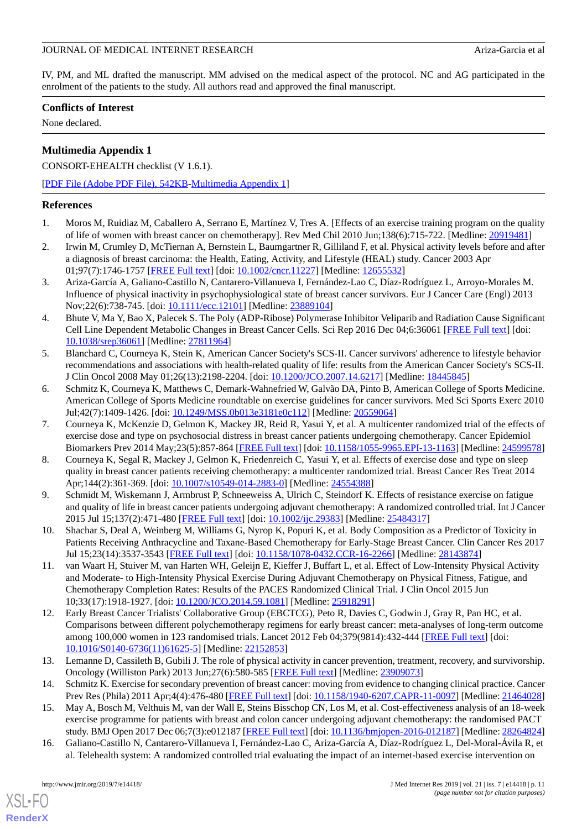IV, PM, and ML drafted the manuscript. MM advised on the medical aspect of the protocol. NC and AG participated in the enrolment of the patients to the study. All authors read and approved the final manuscript.

### **Conflicts of Interest**

None declared.

## **Multimedia Appendix 1**

CONSORT-EHEALTH checklist (V 1.6.1).

[[PDF File \(Adobe PDF File\), 542KB-Multimedia Appendix 1](https://jmir.org/api/download?alt_name=jmir_v21i7e14418_app1.pdf&filename=c076dedc36b4de10bf146682704c16b5.pdf)]

#### <span id="page-10-0"></span>**References**

- <span id="page-10-1"></span>1. Moros M, Ruidiaz M, Caballero A, Serrano E, Martínez V, Tres A. [Effects of an exercise training program on the quality of life of women with breast cancer on chemotherapy]. Rev Med Chil 2010 Jun;138(6):715-722. [Medline: [20919481](http://www.ncbi.nlm.nih.gov/entrez/query.fcgi?cmd=Retrieve&db=PubMed&list_uids=20919481&dopt=Abstract)]
- <span id="page-10-2"></span>2. Irwin M, Crumley D, McTiernan A, Bernstein L, Baumgartner R, Gilliland F, et al. Physical activity levels before and after a diagnosis of breast carcinoma: the Health, Eating, Activity, and Lifestyle (HEAL) study. Cancer 2003 Apr 01;97(7):1746-1757 [[FREE Full text](https://doi.org/10.1002/cncr.11227)] [doi: [10.1002/cncr.11227\]](http://dx.doi.org/10.1002/cncr.11227) [Medline: [12655532\]](http://www.ncbi.nlm.nih.gov/entrez/query.fcgi?cmd=Retrieve&db=PubMed&list_uids=12655532&dopt=Abstract)
- <span id="page-10-3"></span>3. Ariza-García A, Galiano-Castillo N, Cantarero-Villanueva I, Fernández-Lao C, Díaz-Rodríguez L, Arroyo-Morales M. Influence of physical inactivity in psychophysiological state of breast cancer survivors. Eur J Cancer Care (Engl) 2013 Nov;22(6):738-745. [doi: [10.1111/ecc.12101\]](http://dx.doi.org/10.1111/ecc.12101) [Medline: [23889104](http://www.ncbi.nlm.nih.gov/entrez/query.fcgi?cmd=Retrieve&db=PubMed&list_uids=23889104&dopt=Abstract)]
- <span id="page-10-4"></span>4. Bhute V, Ma Y, Bao X, Palecek S. The Poly (ADP-Ribose) Polymerase Inhibitor Veliparib and Radiation Cause Significant Cell Line Dependent Metabolic Changes in Breast Cancer Cells. Sci Rep 2016 Dec 04;6:36061 [\[FREE Full text\]](http://dx.doi.org/10.1038/srep36061) [doi: [10.1038/srep36061\]](http://dx.doi.org/10.1038/srep36061) [Medline: [27811964](http://www.ncbi.nlm.nih.gov/entrez/query.fcgi?cmd=Retrieve&db=PubMed&list_uids=27811964&dopt=Abstract)]
- <span id="page-10-5"></span>5. Blanchard C, Courneya K, Stein K, American Cancer Society's SCS-II. Cancer survivors' adherence to lifestyle behavior recommendations and associations with health-related quality of life: results from the American Cancer Society's SCS-II. J Clin Oncol 2008 May 01;26(13):2198-2204. [doi: [10.1200/JCO.2007.14.6217](http://dx.doi.org/10.1200/JCO.2007.14.6217)] [Medline: [18445845](http://www.ncbi.nlm.nih.gov/entrez/query.fcgi?cmd=Retrieve&db=PubMed&list_uids=18445845&dopt=Abstract)]
- <span id="page-10-6"></span>6. Schmitz K, Courneya K, Matthews C, Demark-Wahnefried W, Galvão DA, Pinto B, American College of Sports Medicine. American College of Sports Medicine roundtable on exercise guidelines for cancer survivors. Med Sci Sports Exerc 2010 Jul;42(7):1409-1426. [doi: [10.1249/MSS.0b013e3181e0c112](http://dx.doi.org/10.1249/MSS.0b013e3181e0c112)] [Medline: [20559064](http://www.ncbi.nlm.nih.gov/entrez/query.fcgi?cmd=Retrieve&db=PubMed&list_uids=20559064&dopt=Abstract)]
- <span id="page-10-7"></span>7. Courneya K, McKenzie D, Gelmon K, Mackey JR, Reid R, Yasui Y, et al. A multicenter randomized trial of the effects of exercise dose and type on psychosocial distress in breast cancer patients undergoing chemotherapy. Cancer Epidemiol Biomarkers Prev 2014 May;23(5):857-864 [\[FREE Full text](http://cebp.aacrjournals.org/cgi/pmidlookup?view=long&pmid=24599578)] [doi: [10.1158/1055-9965.EPI-13-1163](http://dx.doi.org/10.1158/1055-9965.EPI-13-1163)] [Medline: [24599578](http://www.ncbi.nlm.nih.gov/entrez/query.fcgi?cmd=Retrieve&db=PubMed&list_uids=24599578&dopt=Abstract)]
- <span id="page-10-8"></span>8. Courneya K, Segal R, Mackey J, Gelmon K, Friedenreich C, Yasui Y, et al. Effects of exercise dose and type on sleep quality in breast cancer patients receiving chemotherapy: a multicenter randomized trial. Breast Cancer Res Treat 2014 Apr;144(2):361-369. [doi: [10.1007/s10549-014-2883-0](http://dx.doi.org/10.1007/s10549-014-2883-0)] [Medline: [24554388\]](http://www.ncbi.nlm.nih.gov/entrez/query.fcgi?cmd=Retrieve&db=PubMed&list_uids=24554388&dopt=Abstract)
- <span id="page-10-10"></span><span id="page-10-9"></span>9. Schmidt M, Wiskemann J, Armbrust P, Schneeweiss A, Ulrich C, Steindorf K. Effects of resistance exercise on fatigue and quality of life in breast cancer patients undergoing adjuvant chemotherapy: A randomized controlled trial. Int J Cancer 2015 Jul 15;137(2):471-480 [[FREE Full text\]](https://doi.org/10.1002/ijc.29383) [doi: [10.1002/ijc.29383\]](http://dx.doi.org/10.1002/ijc.29383) [Medline: [25484317\]](http://www.ncbi.nlm.nih.gov/entrez/query.fcgi?cmd=Retrieve&db=PubMed&list_uids=25484317&dopt=Abstract)
- 10. Shachar S, Deal A, Weinberg M, Williams G, Nyrop K, Popuri K, et al. Body Composition as a Predictor of Toxicity in Patients Receiving Anthracycline and Taxane-Based Chemotherapy for Early-Stage Breast Cancer. Clin Cancer Res 2017 Jul 15;23(14):3537-3543 [\[FREE Full text](http://clincancerres.aacrjournals.org/cgi/pmidlookup?view=long&pmid=28143874)] [doi: [10.1158/1078-0432.CCR-16-2266\]](http://dx.doi.org/10.1158/1078-0432.CCR-16-2266) [Medline: [28143874](http://www.ncbi.nlm.nih.gov/entrez/query.fcgi?cmd=Retrieve&db=PubMed&list_uids=28143874&dopt=Abstract)]
- <span id="page-10-11"></span>11. van Waart H, Stuiver M, van Harten WH, Geleijn E, Kieffer J, Buffart L, et al. Effect of Low-Intensity Physical Activity and Moderate- to High-Intensity Physical Exercise During Adjuvant Chemotherapy on Physical Fitness, Fatigue, and Chemotherapy Completion Rates: Results of the PACES Randomized Clinical Trial. J Clin Oncol 2015 Jun 10;33(17):1918-1927. [doi: [10.1200/JCO.2014.59.1081](http://dx.doi.org/10.1200/JCO.2014.59.1081)] [Medline: [25918291\]](http://www.ncbi.nlm.nih.gov/entrez/query.fcgi?cmd=Retrieve&db=PubMed&list_uids=25918291&dopt=Abstract)
- <span id="page-10-13"></span><span id="page-10-12"></span>12. Early Breast Cancer Trialists' Collaborative Group (EBCTCG), Peto R, Davies C, Godwin J, Gray R, Pan HC, et al. Comparisons between different polychemotherapy regimens for early breast cancer: meta-analyses of long-term outcome among 100,000 women in 123 randomised trials. Lancet 2012 Feb 04;379(9814):432-444 [\[FREE Full text\]](https://linkinghub.elsevier.com/retrieve/pii/S0140-6736(11)61625-5) [doi: [10.1016/S0140-6736\(11\)61625-5\]](http://dx.doi.org/10.1016/S0140-6736(11)61625-5) [Medline: [22152853](http://www.ncbi.nlm.nih.gov/entrez/query.fcgi?cmd=Retrieve&db=PubMed&list_uids=22152853&dopt=Abstract)]
- <span id="page-10-15"></span><span id="page-10-14"></span>13. Lemanne D, Cassileth B, Gubili J. The role of physical activity in cancer prevention, treatment, recovery, and survivorship. Oncology (Williston Park) 2013 Jun;27(6):580-585 [[FREE Full text](http://www.cancernetwork.com/survivorship/role-physical-activity-cancer-prevention-treatment-recovery-and-survivorship)] [Medline: [23909073](http://www.ncbi.nlm.nih.gov/entrez/query.fcgi?cmd=Retrieve&db=PubMed&list_uids=23909073&dopt=Abstract)]
- 14. Schmitz K. Exercise for secondary prevention of breast cancer: moving from evidence to changing clinical practice. Cancer Prev Res (Phila) 2011 Apr;4(4):476-480 [\[FREE Full text\]](http://cancerpreventionresearch.aacrjournals.org/cgi/pmidlookup?view=long&pmid=21464028) [doi: [10.1158/1940-6207.CAPR-11-0097](http://dx.doi.org/10.1158/1940-6207.CAPR-11-0097)] [Medline: [21464028](http://www.ncbi.nlm.nih.gov/entrez/query.fcgi?cmd=Retrieve&db=PubMed&list_uids=21464028&dopt=Abstract)]
- 15. May A, Bosch M, Velthuis M, van der Wall E, Steins Bisschop CN, Los M, et al. Cost-effectiveness analysis of an 18-week exercise programme for patients with breast and colon cancer undergoing adjuvant chemotherapy: the randomised PACT study. BMJ Open 2017 Dec 06;7(3):e012187 [[FREE Full text](http://bmjopen.bmj.com/cgi/pmidlookup?view=long&pmid=28264824)] [doi: [10.1136/bmjopen-2016-012187](http://dx.doi.org/10.1136/bmjopen-2016-012187)] [Medline: [28264824](http://www.ncbi.nlm.nih.gov/entrez/query.fcgi?cmd=Retrieve&db=PubMed&list_uids=28264824&dopt=Abstract)]
- 16. Galiano-Castillo N, Cantarero-Villanueva I, Fernández-Lao C, Ariza-García A, Díaz-Rodríguez L, Del-Moral-Ávila R, et al. Telehealth system: A randomized controlled trial evaluating the impact of an internet-based exercise intervention on

[XSL](http://www.w3.org/Style/XSL)•FO **[RenderX](http://www.renderx.com/)**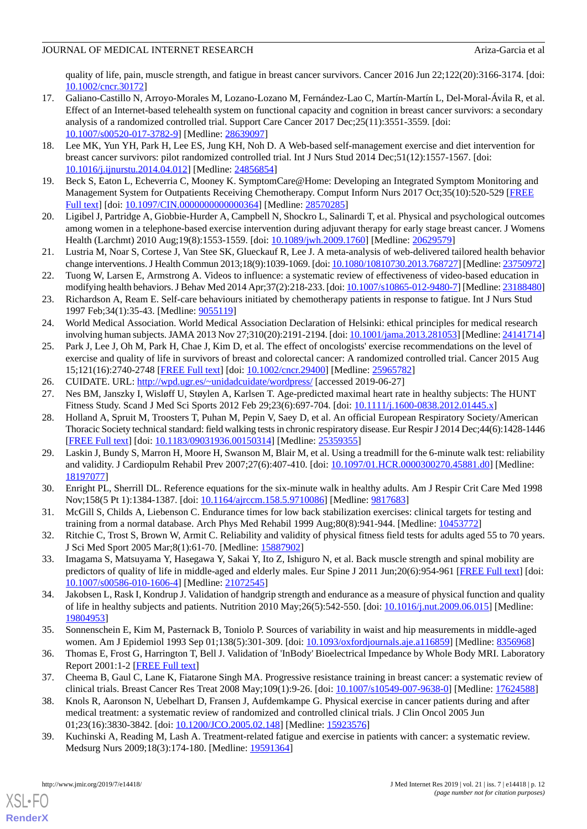quality of life, pain, muscle strength, and fatigue in breast cancer survivors. Cancer 2016 Jun 22;122(20):3166-3174. [doi: [10.1002/cncr.30172\]](http://dx.doi.org/10.1002/cncr.30172)

- <span id="page-11-0"></span>17. Galiano-Castillo N, Arroyo-Morales M, Lozano-Lozano M, Fernández-Lao C, Martín-Martín L, Del-Moral-Ávila R, et al. Effect of an Internet-based telehealth system on functional capacity and cognition in breast cancer survivors: a secondary analysis of a randomized controlled trial. Support Care Cancer 2017 Dec;25(11):3551-3559. [doi: [10.1007/s00520-017-3782-9\]](http://dx.doi.org/10.1007/s00520-017-3782-9) [Medline: [28639097](http://www.ncbi.nlm.nih.gov/entrez/query.fcgi?cmd=Retrieve&db=PubMed&list_uids=28639097&dopt=Abstract)]
- <span id="page-11-1"></span>18. Lee MK, Yun YH, Park H, Lee ES, Jung KH, Noh D. A Web-based self-management exercise and diet intervention for breast cancer survivors: pilot randomized controlled trial. Int J Nurs Stud 2014 Dec;51(12):1557-1567. [doi: [10.1016/j.ijnurstu.2014.04.012](http://dx.doi.org/10.1016/j.ijnurstu.2014.04.012)] [Medline: [24856854\]](http://www.ncbi.nlm.nih.gov/entrez/query.fcgi?cmd=Retrieve&db=PubMed&list_uids=24856854&dopt=Abstract)
- <span id="page-11-5"></span><span id="page-11-2"></span>19. Beck S, Eaton L, Echeverria C, Mooney K. SymptomCare@Home: Developing an Integrated Symptom Monitoring and Management System for Outpatients Receiving Chemotherapy. Comput Inform Nurs 2017 Oct;35(10):520-529 [\[FREE](http://europepmc.org/abstract/MED/28570285) [Full text\]](http://europepmc.org/abstract/MED/28570285) [doi: [10.1097/CIN.0000000000000364](http://dx.doi.org/10.1097/CIN.0000000000000364)] [Medline: [28570285\]](http://www.ncbi.nlm.nih.gov/entrez/query.fcgi?cmd=Retrieve&db=PubMed&list_uids=28570285&dopt=Abstract)
- <span id="page-11-6"></span>20. Ligibel J, Partridge A, Giobbie-Hurder A, Campbell N, Shockro L, Salinardi T, et al. Physical and psychological outcomes among women in a telephone-based exercise intervention during adjuvant therapy for early stage breast cancer. J Womens Health (Larchmt) 2010 Aug;19(8):1553-1559. [doi: [10.1089/jwh.2009.1760\]](http://dx.doi.org/10.1089/jwh.2009.1760) [Medline: [20629579](http://www.ncbi.nlm.nih.gov/entrez/query.fcgi?cmd=Retrieve&db=PubMed&list_uids=20629579&dopt=Abstract)]
- <span id="page-11-3"></span>21. Lustria M, Noar S, Cortese J, Van Stee SK, Glueckauf R, Lee J. A meta-analysis of web-delivered tailored health behavior change interventions. J Health Commun 2013;18(9):1039-1069. [doi: [10.1080/10810730.2013.768727\]](http://dx.doi.org/10.1080/10810730.2013.768727) [Medline: [23750972\]](http://www.ncbi.nlm.nih.gov/entrez/query.fcgi?cmd=Retrieve&db=PubMed&list_uids=23750972&dopt=Abstract)
- <span id="page-11-4"></span>22. Tuong W, Larsen E, Armstrong A. Videos to influence: a systematic review of effectiveness of video-based education in modifying health behaviors. J Behav Med 2014 Apr;37(2):218-233. [doi: [10.1007/s10865-012-9480-7](http://dx.doi.org/10.1007/s10865-012-9480-7)] [Medline: [23188480](http://www.ncbi.nlm.nih.gov/entrez/query.fcgi?cmd=Retrieve&db=PubMed&list_uids=23188480&dopt=Abstract)]
- <span id="page-11-7"></span>23. Richardson A, Ream E. Self-care behaviours initiated by chemotherapy patients in response to fatigue. Int J Nurs Stud 1997 Feb;34(1):35-43. [Medline: [9055119](http://www.ncbi.nlm.nih.gov/entrez/query.fcgi?cmd=Retrieve&db=PubMed&list_uids=9055119&dopt=Abstract)]
- <span id="page-11-8"></span>24. World Medical Association. World Medical Association Declaration of Helsinki: ethical principles for medical research involving human subjects. JAMA 2013 Nov 27;310(20):2191-2194. [doi: [10.1001/jama.2013.281053\]](http://dx.doi.org/10.1001/jama.2013.281053) [Medline: [24141714\]](http://www.ncbi.nlm.nih.gov/entrez/query.fcgi?cmd=Retrieve&db=PubMed&list_uids=24141714&dopt=Abstract)
- <span id="page-11-10"></span><span id="page-11-9"></span>25. Park J, Lee J, Oh M, Park H, Chae J, Kim D, et al. The effect of oncologists' exercise recommendations on the level of exercise and quality of life in survivors of breast and colorectal cancer: A randomized controlled trial. Cancer 2015 Aug 15;121(16):2740-2748 [[FREE Full text](https://doi.org/10.1002/cncr.29400)] [doi: [10.1002/cncr.29400\]](http://dx.doi.org/10.1002/cncr.29400) [Medline: [25965782\]](http://www.ncbi.nlm.nih.gov/entrez/query.fcgi?cmd=Retrieve&db=PubMed&list_uids=25965782&dopt=Abstract)
- <span id="page-11-11"></span>26. CUIDATE. URL:<http://wpd.ugr.es/~unidadcuidate/wordpress/> [accessed 2019-06-27]
- 27. Nes BM, Janszky I, Wisløff U, Støylen A, Karlsen T. Age-predicted maximal heart rate in healthy subjects: The HUNT Fitness Study. Scand J Med Sci Sports 2012 Feb 29;23(6):697-704. [doi: [10.1111/j.1600-0838.2012.01445.x\]](http://dx.doi.org/10.1111/j.1600-0838.2012.01445.x)
- <span id="page-11-12"></span>28. Holland A, Spruit M, Troosters T, Puhan M, Pepin V, Saey D, et al. An official European Respiratory Society/American Thoracic Society technical standard: field walking tests in chronic respiratory disease. Eur Respir J 2014 Dec;44(6):1428-1446 [[FREE Full text](http://erj.ersjournals.com/cgi/pmidlookup?view=long&pmid=25359355)] [doi: [10.1183/09031936.00150314](http://dx.doi.org/10.1183/09031936.00150314)] [Medline: [25359355](http://www.ncbi.nlm.nih.gov/entrez/query.fcgi?cmd=Retrieve&db=PubMed&list_uids=25359355&dopt=Abstract)]
- <span id="page-11-14"></span><span id="page-11-13"></span>29. Laskin J, Bundy S, Marron H, Moore H, Swanson M, Blair M, et al. Using a treadmill for the 6-minute walk test: reliability and validity. J Cardiopulm Rehabil Prev 2007;27(6):407-410. [doi: [10.1097/01.HCR.0000300270.45881.d0\]](http://dx.doi.org/10.1097/01.HCR.0000300270.45881.d0) [Medline: [18197077](http://www.ncbi.nlm.nih.gov/entrez/query.fcgi?cmd=Retrieve&db=PubMed&list_uids=18197077&dopt=Abstract)]
- <span id="page-11-15"></span>30. Enright PL, Sherrill DL. Reference equations for the six-minute walk in healthy adults. Am J Respir Crit Care Med 1998 Nov;158(5 Pt 1):1384-1387. [doi: [10.1164/ajrccm.158.5.9710086\]](http://dx.doi.org/10.1164/ajrccm.158.5.9710086) [Medline: [9817683\]](http://www.ncbi.nlm.nih.gov/entrez/query.fcgi?cmd=Retrieve&db=PubMed&list_uids=9817683&dopt=Abstract)
- <span id="page-11-16"></span>31. McGill S, Childs A, Liebenson C. Endurance times for low back stabilization exercises: clinical targets for testing and training from a normal database. Arch Phys Med Rehabil 1999 Aug;80(8):941-944. [Medline: [10453772](http://www.ncbi.nlm.nih.gov/entrez/query.fcgi?cmd=Retrieve&db=PubMed&list_uids=10453772&dopt=Abstract)]
- <span id="page-11-17"></span>32. Ritchie C, Trost S, Brown W, Armit C. Reliability and validity of physical fitness field tests for adults aged 55 to 70 years. J Sci Med Sport 2005 Mar;8(1):61-70. [Medline: [15887902\]](http://www.ncbi.nlm.nih.gov/entrez/query.fcgi?cmd=Retrieve&db=PubMed&list_uids=15887902&dopt=Abstract)
- <span id="page-11-18"></span>33. Imagama S, Matsuyama Y, Hasegawa Y, Sakai Y, Ito Z, Ishiguro N, et al. Back muscle strength and spinal mobility are predictors of quality of life in middle-aged and elderly males. Eur Spine J 2011 Jun;20(6):954-961 [\[FREE Full text\]](http://europepmc.org/abstract/MED/21072545) [doi: [10.1007/s00586-010-1606-4\]](http://dx.doi.org/10.1007/s00586-010-1606-4) [Medline: [21072545](http://www.ncbi.nlm.nih.gov/entrez/query.fcgi?cmd=Retrieve&db=PubMed&list_uids=21072545&dopt=Abstract)]
- <span id="page-11-20"></span><span id="page-11-19"></span>34. Jakobsen L, Rask I, Kondrup J. Validation of handgrip strength and endurance as a measure of physical function and quality of life in healthy subjects and patients. Nutrition 2010 May;26(5):542-550. [doi: [10.1016/j.nut.2009.06.015\]](http://dx.doi.org/10.1016/j.nut.2009.06.015) [Medline: [19804953](http://www.ncbi.nlm.nih.gov/entrez/query.fcgi?cmd=Retrieve&db=PubMed&list_uids=19804953&dopt=Abstract)]
- 35. Sonnenschein E, Kim M, Pasternack B, Toniolo P. Sources of variability in waist and hip measurements in middle-aged women. Am J Epidemiol 1993 Sep 01;138(5):301-309. [doi: [10.1093/oxfordjournals.aje.a116859](http://dx.doi.org/10.1093/oxfordjournals.aje.a116859)] [Medline: [8356968\]](http://www.ncbi.nlm.nih.gov/entrez/query.fcgi?cmd=Retrieve&db=PubMed&list_uids=8356968&dopt=Abstract)
- 36. Thomas E, Frost G, Harrington T, Bell J. Validation of 'InBody' Bioelectrical Impedance by Whole Body MRI. Laboratory Report 2001:1-2 [\[FREE Full text\]](https://pdfs.semanticscholar.org/ef9d/6adee85fbfd92eff31c55b030272bb198202.pdf)
- 37. Cheema B, Gaul C, Lane K, Fiatarone Singh MA. Progressive resistance training in breast cancer: a systematic review of clinical trials. Breast Cancer Res Treat 2008 May;109(1):9-26. [doi: [10.1007/s10549-007-9638-0](http://dx.doi.org/10.1007/s10549-007-9638-0)] [Medline: [17624588\]](http://www.ncbi.nlm.nih.gov/entrez/query.fcgi?cmd=Retrieve&db=PubMed&list_uids=17624588&dopt=Abstract)
- 38. Knols R, Aaronson N, Uebelhart D, Fransen J, Aufdemkampe G. Physical exercise in cancer patients during and after medical treatment: a systematic review of randomized and controlled clinical trials. J Clin Oncol 2005 Jun 01;23(16):3830-3842. [doi: [10.1200/JCO.2005.02.148](http://dx.doi.org/10.1200/JCO.2005.02.148)] [Medline: [15923576\]](http://www.ncbi.nlm.nih.gov/entrez/query.fcgi?cmd=Retrieve&db=PubMed&list_uids=15923576&dopt=Abstract)
- 39. Kuchinski A, Reading M, Lash A. Treatment-related fatigue and exercise in patients with cancer: a systematic review. Medsurg Nurs 2009;18(3):174-180. [Medline: [19591364\]](http://www.ncbi.nlm.nih.gov/entrez/query.fcgi?cmd=Retrieve&db=PubMed&list_uids=19591364&dopt=Abstract)

[XSL](http://www.w3.org/Style/XSL)•FO **[RenderX](http://www.renderx.com/)**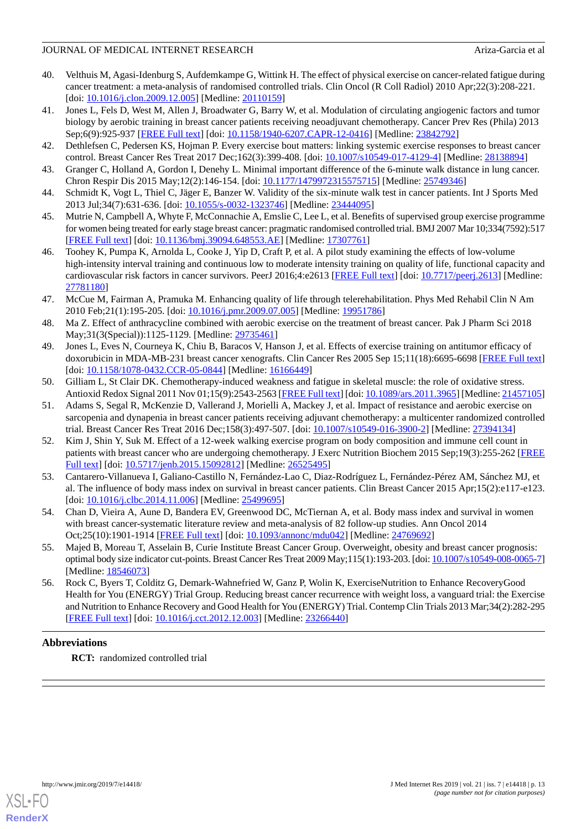- <span id="page-12-0"></span>40. Velthuis M, Agasi-Idenburg S, Aufdemkampe G, Wittink H. The effect of physical exercise on cancer-related fatigue during cancer treatment: a meta-analysis of randomised controlled trials. Clin Oncol (R Coll Radiol) 2010 Apr;22(3):208-221. [doi: [10.1016/j.clon.2009.12.005](http://dx.doi.org/10.1016/j.clon.2009.12.005)] [Medline: [20110159\]](http://www.ncbi.nlm.nih.gov/entrez/query.fcgi?cmd=Retrieve&db=PubMed&list_uids=20110159&dopt=Abstract)
- <span id="page-12-1"></span>41. Jones L, Fels D, West M, Allen J, Broadwater G, Barry W, et al. Modulation of circulating angiogenic factors and tumor biology by aerobic training in breast cancer patients receiving neoadjuvant chemotherapy. Cancer Prev Res (Phila) 2013 Sep;6(9):925-937 [[FREE Full text](http://cancerpreventionresearch.aacrjournals.org/cgi/pmidlookup?view=long&pmid=23842792)] [doi: [10.1158/1940-6207.CAPR-12-0416](http://dx.doi.org/10.1158/1940-6207.CAPR-12-0416)] [Medline: [23842792](http://www.ncbi.nlm.nih.gov/entrez/query.fcgi?cmd=Retrieve&db=PubMed&list_uids=23842792&dopt=Abstract)]
- <span id="page-12-3"></span><span id="page-12-2"></span>42. Dethlefsen C, Pedersen KS, Hojman P. Every exercise bout matters: linking systemic exercise responses to breast cancer control. Breast Cancer Res Treat 2017 Dec;162(3):399-408. [doi: [10.1007/s10549-017-4129-4](http://dx.doi.org/10.1007/s10549-017-4129-4)] [Medline: [28138894\]](http://www.ncbi.nlm.nih.gov/entrez/query.fcgi?cmd=Retrieve&db=PubMed&list_uids=28138894&dopt=Abstract)
- <span id="page-12-4"></span>43. Granger C, Holland A, Gordon I, Denehy L. Minimal important difference of the 6-minute walk distance in lung cancer. Chron Respir Dis 2015 May;12(2):146-154. [doi: [10.1177/1479972315575715](http://dx.doi.org/10.1177/1479972315575715)] [Medline: [25749346\]](http://www.ncbi.nlm.nih.gov/entrez/query.fcgi?cmd=Retrieve&db=PubMed&list_uids=25749346&dopt=Abstract)
- <span id="page-12-5"></span>44. Schmidt K, Vogt L, Thiel C, Jäger E, Banzer W. Validity of the six-minute walk test in cancer patients. Int J Sports Med 2013 Jul;34(7):631-636. [doi: [10.1055/s-0032-1323746](http://dx.doi.org/10.1055/s-0032-1323746)] [Medline: [23444095](http://www.ncbi.nlm.nih.gov/entrez/query.fcgi?cmd=Retrieve&db=PubMed&list_uids=23444095&dopt=Abstract)]
- <span id="page-12-6"></span>45. Mutrie N, Campbell A, Whyte F, McConnachie A, Emslie C, Lee L, et al. Benefits of supervised group exercise programme for women being treated for early stage breast cancer: pragmatic randomised controlled trial. BMJ 2007 Mar 10;334(7592):517 [[FREE Full text](http://europepmc.org/abstract/MED/17307761)] [doi: [10.1136/bmj.39094.648553.AE](http://dx.doi.org/10.1136/bmj.39094.648553.AE)] [Medline: [17307761\]](http://www.ncbi.nlm.nih.gov/entrez/query.fcgi?cmd=Retrieve&db=PubMed&list_uids=17307761&dopt=Abstract)
- <span id="page-12-7"></span>46. Toohey K, Pumpa K, Arnolda L, Cooke J, Yip D, Craft P, et al. A pilot study examining the effects of low-volume high-intensity interval training and continuous low to moderate intensity training on quality of life, functional capacity and cardiovascular risk factors in cancer survivors. PeerJ 2016;4:e2613 [[FREE Full text](https://doi.org/10.7717/peerj.2613)] [doi: [10.7717/peerj.2613](http://dx.doi.org/10.7717/peerj.2613)] [Medline: [27781180](http://www.ncbi.nlm.nih.gov/entrez/query.fcgi?cmd=Retrieve&db=PubMed&list_uids=27781180&dopt=Abstract)]
- <span id="page-12-8"></span>47. McCue M, Fairman A, Pramuka M. Enhancing quality of life through telerehabilitation. Phys Med Rehabil Clin N Am 2010 Feb;21(1):195-205. [doi: [10.1016/j.pmr.2009.07.005\]](http://dx.doi.org/10.1016/j.pmr.2009.07.005) [Medline: [19951786](http://www.ncbi.nlm.nih.gov/entrez/query.fcgi?cmd=Retrieve&db=PubMed&list_uids=19951786&dopt=Abstract)]
- <span id="page-12-9"></span>48. Ma Z. Effect of anthracycline combined with aerobic exercise on the treatment of breast cancer. Pak J Pharm Sci 2018 May;31(3(Special)):1125-1129. [Medline: [29735461](http://www.ncbi.nlm.nih.gov/entrez/query.fcgi?cmd=Retrieve&db=PubMed&list_uids=29735461&dopt=Abstract)]
- <span id="page-12-10"></span>49. Jones L, Eves N, Courneya K, Chiu B, Baracos V, Hanson J, et al. Effects of exercise training on antitumor efficacy of doxorubicin in MDA-MB-231 breast cancer xenografts. Clin Cancer Res 2005 Sep 15;11(18):6695-6698 [\[FREE Full text](http://clincancerres.aacrjournals.org/cgi/pmidlookup?view=long&pmid=16166449)] [doi: [10.1158/1078-0432.CCR-05-0844\]](http://dx.doi.org/10.1158/1078-0432.CCR-05-0844) [Medline: [16166449\]](http://www.ncbi.nlm.nih.gov/entrez/query.fcgi?cmd=Retrieve&db=PubMed&list_uids=16166449&dopt=Abstract)
- <span id="page-12-11"></span>50. Gilliam L, St Clair DK. Chemotherapy-induced weakness and fatigue in skeletal muscle: the role of oxidative stress. Antioxid Redox Signal 2011 Nov 01;15(9):2543-2563 [[FREE Full text](http://europepmc.org/abstract/MED/21457105)] [doi: [10.1089/ars.2011.3965\]](http://dx.doi.org/10.1089/ars.2011.3965) [Medline: [21457105](http://www.ncbi.nlm.nih.gov/entrez/query.fcgi?cmd=Retrieve&db=PubMed&list_uids=21457105&dopt=Abstract)]
- <span id="page-12-12"></span>51. Adams S, Segal R, McKenzie D, Vallerand J, Morielli A, Mackey J, et al. Impact of resistance and aerobic exercise on sarcopenia and dynapenia in breast cancer patients receiving adjuvant chemotherapy: a multicenter randomized controlled trial. Breast Cancer Res Treat 2016 Dec;158(3):497-507. [doi: [10.1007/s10549-016-3900-2\]](http://dx.doi.org/10.1007/s10549-016-3900-2) [Medline: [27394134\]](http://www.ncbi.nlm.nih.gov/entrez/query.fcgi?cmd=Retrieve&db=PubMed&list_uids=27394134&dopt=Abstract)
- <span id="page-12-13"></span>52. Kim J, Shin Y, Suk M. Effect of a 12-week walking exercise program on body composition and immune cell count in patients with breast cancer who are undergoing chemotherapy. J Exerc Nutrition Biochem 2015 Sep;19(3):255-262 [\[FREE](http://europepmc.org/abstract/MED/26525495) [Full text\]](http://europepmc.org/abstract/MED/26525495) [doi: [10.5717/jenb.2015.15092812](http://dx.doi.org/10.5717/jenb.2015.15092812)] [Medline: [26525495](http://www.ncbi.nlm.nih.gov/entrez/query.fcgi?cmd=Retrieve&db=PubMed&list_uids=26525495&dopt=Abstract)]
- <span id="page-12-15"></span><span id="page-12-14"></span>53. Cantarero-Villanueva I, Galiano-Castillo N, Fernández-Lao C, Diaz-Rodríguez L, Fernández-Pérez AM, Sánchez MJ, et al. The influence of body mass index on survival in breast cancer patients. Clin Breast Cancer 2015 Apr;15(2):e117-e123. [doi: [10.1016/j.clbc.2014.11.006\]](http://dx.doi.org/10.1016/j.clbc.2014.11.006) [Medline: [25499695](http://www.ncbi.nlm.nih.gov/entrez/query.fcgi?cmd=Retrieve&db=PubMed&list_uids=25499695&dopt=Abstract)]
- <span id="page-12-16"></span>54. Chan D, Vieira A, Aune D, Bandera EV, Greenwood DC, McTiernan A, et al. Body mass index and survival in women with breast cancer-systematic literature review and meta-analysis of 82 follow-up studies. Ann Oncol 2014 Oct;25(10):1901-1914 [\[FREE Full text\]](http://europepmc.org/abstract/MED/24769692) [doi: [10.1093/annonc/mdu042\]](http://dx.doi.org/10.1093/annonc/mdu042) [Medline: [24769692\]](http://www.ncbi.nlm.nih.gov/entrez/query.fcgi?cmd=Retrieve&db=PubMed&list_uids=24769692&dopt=Abstract)
- 55. Majed B, Moreau T, Asselain B, Curie Institute Breast Cancer Group. Overweight, obesity and breast cancer prognosis: optimal body size indicator cut-points. Breast Cancer Res Treat 2009 May;115(1):193-203. [doi: [10.1007/s10549-008-0065-7\]](http://dx.doi.org/10.1007/s10549-008-0065-7) [Medline: [18546073](http://www.ncbi.nlm.nih.gov/entrez/query.fcgi?cmd=Retrieve&db=PubMed&list_uids=18546073&dopt=Abstract)]
- 56. Rock C, Byers T, Colditz G, Demark-Wahnefried W, Ganz P, Wolin K, ExerciseNutrition to Enhance RecoveryGood Health for You (ENERGY) Trial Group. Reducing breast cancer recurrence with weight loss, a vanguard trial: the Exercise and Nutrition to Enhance Recovery and Good Health for You (ENERGY) Trial. Contemp Clin Trials 2013 Mar;34(2):282-295 [[FREE Full text](http://europepmc.org/abstract/MED/23266440)] [doi: [10.1016/j.cct.2012.12.003](http://dx.doi.org/10.1016/j.cct.2012.12.003)] [Medline: [23266440\]](http://www.ncbi.nlm.nih.gov/entrez/query.fcgi?cmd=Retrieve&db=PubMed&list_uids=23266440&dopt=Abstract)

#### **Abbreviations**

**RCT:** randomized controlled trial